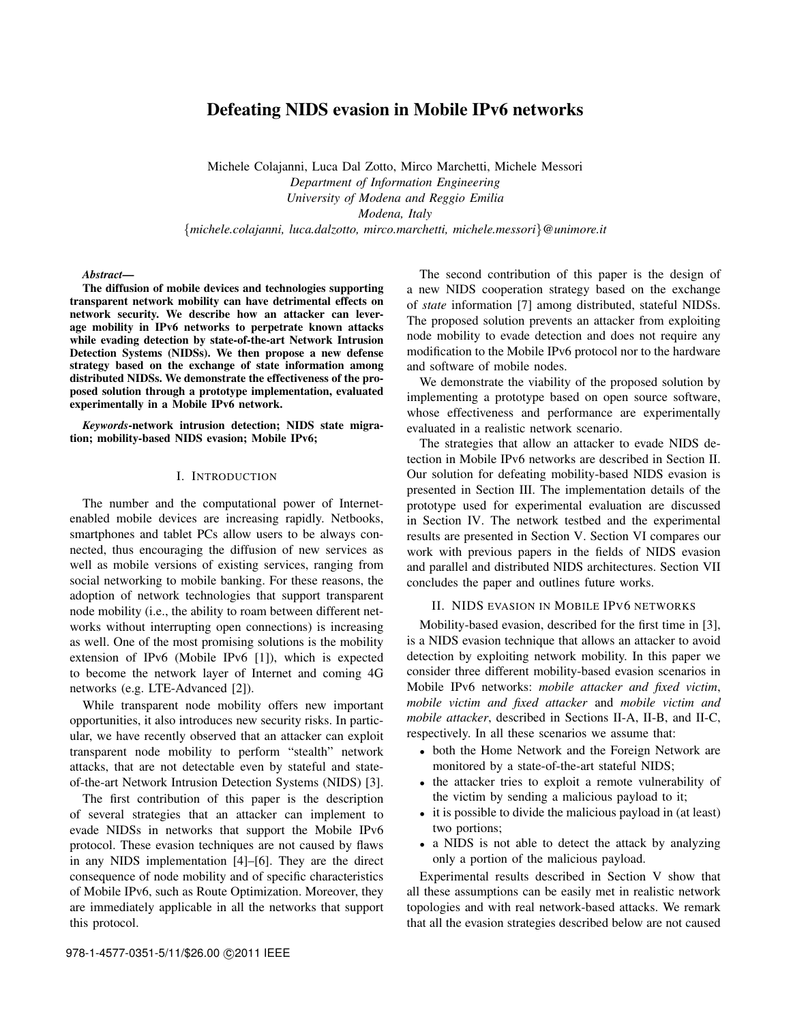# Defeating NIDS evasion in Mobile IPv6 networks

Michele Colajanni, Luca Dal Zotto, Mirco Marchetti, Michele Messori *Department of Information Engineering University of Modena and Reggio Emilia Modena, Italy* {*michele.colajanni, luca.dalzotto, mirco.marchetti, michele.messori*}*@unimore.it*

#### *Abstract*—

The diffusion of mobile devices and technologies supporting transparent network mobility can have detrimental effects on network security. We describe how an attacker can leverage mobility in IPv6 networks to perpetrate known attacks while evading detection by state-of-the-art Network Intrusion Detection Systems (NIDSs). We then propose a new defense strategy based on the exchange of state information among distributed NIDSs. We demonstrate the effectiveness of the proposed solution through a prototype implementation, evaluated experimentally in a Mobile IPv6 network.

*Keywords*-network intrusion detection; NIDS state migration; mobility-based NIDS evasion; Mobile IPv6;

#### I. INTRODUCTION

The number and the computational power of Internetenabled mobile devices are increasing rapidly. Netbooks, smartphones and tablet PCs allow users to be always connected, thus encouraging the diffusion of new services as well as mobile versions of existing services, ranging from social networking to mobile banking. For these reasons, the adoption of network technologies that support transparent node mobility (i.e., the ability to roam between different networks without interrupting open connections) is increasing as well. One of the most promising solutions is the mobility extension of IPv6 (Mobile IPv6 [1]), which is expected to become the network layer of Internet and coming 4G networks (e.g. LTE-Advanced [2]).

While transparent node mobility offers new important opportunities, it also introduces new security risks. In particular, we have recently observed that an attacker can exploit transparent node mobility to perform "stealth" network attacks, that are not detectable even by stateful and stateof-the-art Network Intrusion Detection Systems (NIDS) [3].

The first contribution of this paper is the description of several strategies that an attacker can implement to evade NIDSs in networks that support the Mobile IPv6 protocol. These evasion techniques are not caused by flaws in any NIDS implementation [4]–[6]. They are the direct consequence of node mobility and of specific characteristics of Mobile IPv6, such as Route Optimization. Moreover, they are immediately applicable in all the networks that support this protocol.

The second contribution of this paper is the design of a new NIDS cooperation strategy based on the exchange of *state* information [7] among distributed, stateful NIDSs. The proposed solution prevents an attacker from exploiting node mobility to evade detection and does not require any modification to the Mobile IPv6 protocol nor to the hardware and software of mobile nodes.

We demonstrate the viability of the proposed solution by implementing a prototype based on open source software, whose effectiveness and performance are experimentally evaluated in a realistic network scenario.

The strategies that allow an attacker to evade NIDS detection in Mobile IPv6 networks are described in Section II. Our solution for defeating mobility-based NIDS evasion is presented in Section III. The implementation details of the prototype used for experimental evaluation are discussed in Section IV. The network testbed and the experimental results are presented in Section V. Section VI compares our work with previous papers in the fields of NIDS evasion and parallel and distributed NIDS architectures. Section VII concludes the paper and outlines future works.

#### II. NIDS EVASION IN MOBILE IPV6 NETWORKS

Mobility-based evasion, described for the first time in [3], is a NIDS evasion technique that allows an attacker to avoid detection by exploiting network mobility. In this paper we consider three different mobility-based evasion scenarios in Mobile IPv6 networks: *mobile attacker and fixed victim*, *mobile victim and fixed attacker* and *mobile victim and mobile attacker*, described in Sections II-A, II-B, and II-C, respectively. In all these scenarios we assume that:

- both the Home Network and the Foreign Network are monitored by a state-of-the-art stateful NIDS;
- the attacker tries to exploit a remote vulnerability of the victim by sending a malicious payload to it;
- it is possible to divide the malicious payload in (at least) two portions;
- a NIDS is not able to detect the attack by analyzing only a portion of the malicious payload.

Experimental results described in Section V show that all these assumptions can be easily met in realistic network topologies and with real network-based attacks. We remark that all the evasion strategies described below are not caused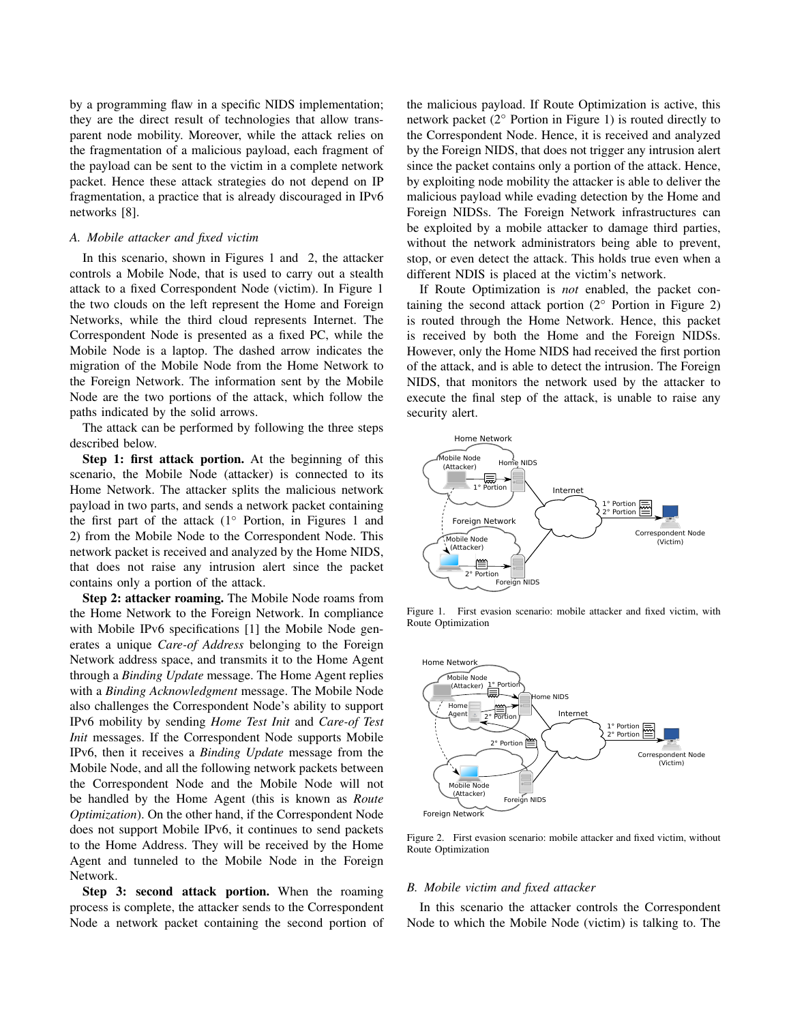by a programming flaw in a specific NIDS implementation; they are the direct result of technologies that allow transparent node mobility. Moreover, while the attack relies on the fragmentation of a malicious payload, each fragment of the payload can be sent to the victim in a complete network packet. Hence these attack strategies do not depend on IP fragmentation, a practice that is already discouraged in IPv6 networks [8].

#### *A. Mobile attacker and fixed victim*

In this scenario, shown in Figures 1 and 2, the attacker controls a Mobile Node, that is used to carry out a stealth attack to a fixed Correspondent Node (victim). In Figure 1 the two clouds on the left represent the Home and Foreign Networks, while the third cloud represents Internet. The Correspondent Node is presented as a fixed PC, while the Mobile Node is a laptop. The dashed arrow indicates the migration of the Mobile Node from the Home Network to the Foreign Network. The information sent by the Mobile Node are the two portions of the attack, which follow the paths indicated by the solid arrows.

The attack can be performed by following the three steps described below.

Step 1: first attack portion. At the beginning of this scenario, the Mobile Node (attacker) is connected to its Home Network. The attacker splits the malicious network payload in two parts, and sends a network packet containing the first part of the attack (1◦ Portion, in Figures 1 and 2) from the Mobile Node to the Correspondent Node. This network packet is received and analyzed by the Home NIDS, that does not raise any intrusion alert since the packet contains only a portion of the attack.

Step 2: attacker roaming. The Mobile Node roams from the Home Network to the Foreign Network. In compliance with Mobile IPv6 specifications [1] the Mobile Node generates a unique *Care-of Address* belonging to the Foreign Network address space, and transmits it to the Home Agent through a *Binding Update* message. The Home Agent replies with a *Binding Acknowledgment* message. The Mobile Node also challenges the Correspondent Node's ability to support IPv6 mobility by sending *Home Test Init* and *Care-of Test Init* messages. If the Correspondent Node supports Mobile IPv6, then it receives a *Binding Update* message from the Mobile Node, and all the following network packets between the Correspondent Node and the Mobile Node will not be handled by the Home Agent (this is known as *Route Optimization*). On the other hand, if the Correspondent Node does not support Mobile IPv6, it continues to send packets to the Home Address. They will be received by the Home Agent and tunneled to the Mobile Node in the Foreign Network.

Step 3: second attack portion. When the roaming process is complete, the attacker sends to the Correspondent Node a network packet containing the second portion of the malicious payload. If Route Optimization is active, this network packet (2◦ Portion in Figure 1) is routed directly to the Correspondent Node. Hence, it is received and analyzed by the Foreign NIDS, that does not trigger any intrusion alert since the packet contains only a portion of the attack. Hence, by exploiting node mobility the attacker is able to deliver the malicious payload while evading detection by the Home and Foreign NIDSs. The Foreign Network infrastructures can be exploited by a mobile attacker to damage third parties, without the network administrators being able to prevent, stop, or even detect the attack. This holds true even when a different NDIS is placed at the victim's network.

If Route Optimization is *not* enabled, the packet containing the second attack portion ( $2°$  Portion in Figure 2) is routed through the Home Network. Hence, this packet is received by both the Home and the Foreign NIDSs. However, only the Home NIDS had received the first portion of the attack, and is able to detect the intrusion. The Foreign NIDS, that monitors the network used by the attacker to execute the final step of the attack, is unable to raise any security alert.



Figure 1. First evasion scenario: mobile attacker and fixed victim, with Route Optimization



Figure 2. First evasion scenario: mobile attacker and fixed victim, without Route Optimization

#### *B. Mobile victim and fixed attacker*

In this scenario the attacker controls the Correspondent Node to which the Mobile Node (victim) is talking to. The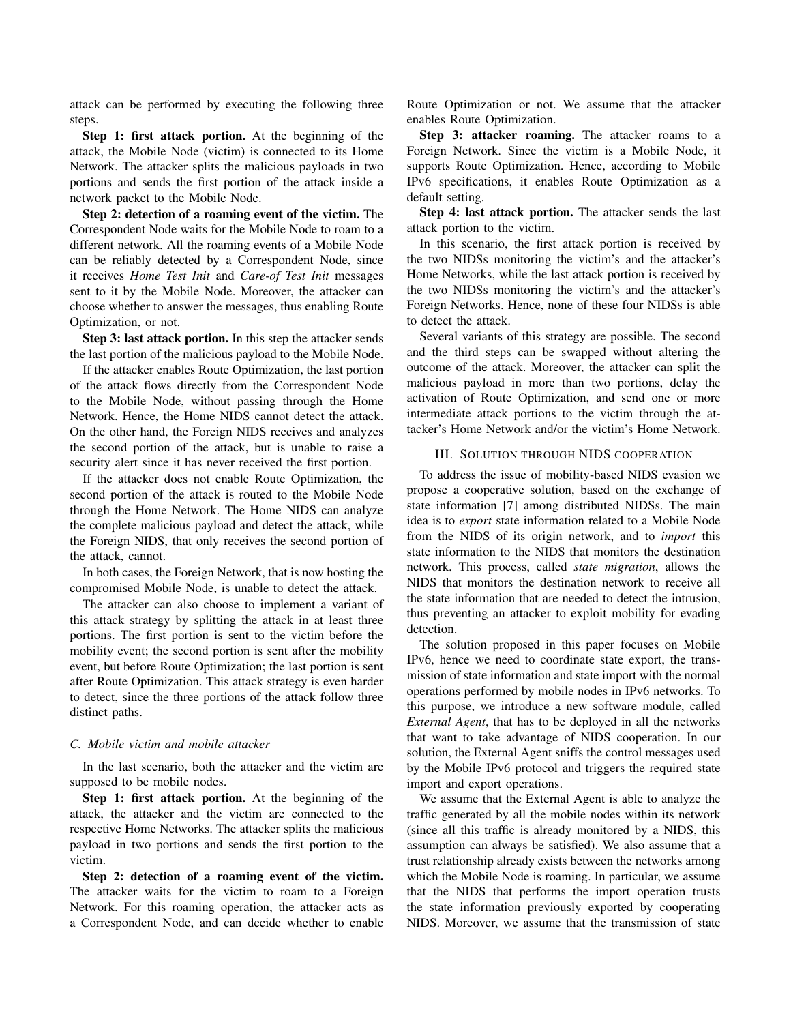attack can be performed by executing the following three steps.

Step 1: first attack portion. At the beginning of the attack, the Mobile Node (victim) is connected to its Home Network. The attacker splits the malicious payloads in two portions and sends the first portion of the attack inside a network packet to the Mobile Node.

Step 2: detection of a roaming event of the victim. The Correspondent Node waits for the Mobile Node to roam to a different network. All the roaming events of a Mobile Node can be reliably detected by a Correspondent Node, since it receives *Home Test Init* and *Care-of Test Init* messages sent to it by the Mobile Node. Moreover, the attacker can choose whether to answer the messages, thus enabling Route Optimization, or not.

Step 3: last attack portion. In this step the attacker sends the last portion of the malicious payload to the Mobile Node.

If the attacker enables Route Optimization, the last portion of the attack flows directly from the Correspondent Node to the Mobile Node, without passing through the Home Network. Hence, the Home NIDS cannot detect the attack. On the other hand, the Foreign NIDS receives and analyzes the second portion of the attack, but is unable to raise a security alert since it has never received the first portion.

If the attacker does not enable Route Optimization, the second portion of the attack is routed to the Mobile Node through the Home Network. The Home NIDS can analyze the complete malicious payload and detect the attack, while the Foreign NIDS, that only receives the second portion of the attack, cannot.

In both cases, the Foreign Network, that is now hosting the compromised Mobile Node, is unable to detect the attack.

The attacker can also choose to implement a variant of this attack strategy by splitting the attack in at least three portions. The first portion is sent to the victim before the mobility event; the second portion is sent after the mobility event, but before Route Optimization; the last portion is sent after Route Optimization. This attack strategy is even harder to detect, since the three portions of the attack follow three distinct paths.

#### *C. Mobile victim and mobile attacker*

In the last scenario, both the attacker and the victim are supposed to be mobile nodes.

Step 1: first attack portion. At the beginning of the attack, the attacker and the victim are connected to the respective Home Networks. The attacker splits the malicious payload in two portions and sends the first portion to the victim.

Step 2: detection of a roaming event of the victim. The attacker waits for the victim to roam to a Foreign Network. For this roaming operation, the attacker acts as a Correspondent Node, and can decide whether to enable Route Optimization or not. We assume that the attacker enables Route Optimization.

Step 3: attacker roaming. The attacker roams to a Foreign Network. Since the victim is a Mobile Node, it supports Route Optimization. Hence, according to Mobile IPv6 specifications, it enables Route Optimization as a default setting.

Step 4: last attack portion. The attacker sends the last attack portion to the victim.

In this scenario, the first attack portion is received by the two NIDSs monitoring the victim's and the attacker's Home Networks, while the last attack portion is received by the two NIDSs monitoring the victim's and the attacker's Foreign Networks. Hence, none of these four NIDSs is able to detect the attack.

Several variants of this strategy are possible. The second and the third steps can be swapped without altering the outcome of the attack. Moreover, the attacker can split the malicious payload in more than two portions, delay the activation of Route Optimization, and send one or more intermediate attack portions to the victim through the attacker's Home Network and/or the victim's Home Network.

### III. SOLUTION THROUGH NIDS COOPERATION

To address the issue of mobility-based NIDS evasion we propose a cooperative solution, based on the exchange of state information [7] among distributed NIDSs. The main idea is to *export* state information related to a Mobile Node from the NIDS of its origin network, and to *import* this state information to the NIDS that monitors the destination network. This process, called *state migration*, allows the NIDS that monitors the destination network to receive all the state information that are needed to detect the intrusion, thus preventing an attacker to exploit mobility for evading detection.

The solution proposed in this paper focuses on Mobile IPv6, hence we need to coordinate state export, the transmission of state information and state import with the normal operations performed by mobile nodes in IPv6 networks. To this purpose, we introduce a new software module, called *External Agent*, that has to be deployed in all the networks that want to take advantage of NIDS cooperation. In our solution, the External Agent sniffs the control messages used by the Mobile IPv6 protocol and triggers the required state import and export operations.

We assume that the External Agent is able to analyze the traffic generated by all the mobile nodes within its network (since all this traffic is already monitored by a NIDS, this assumption can always be satisfied). We also assume that a trust relationship already exists between the networks among which the Mobile Node is roaming. In particular, we assume that the NIDS that performs the import operation trusts the state information previously exported by cooperating NIDS. Moreover, we assume that the transmission of state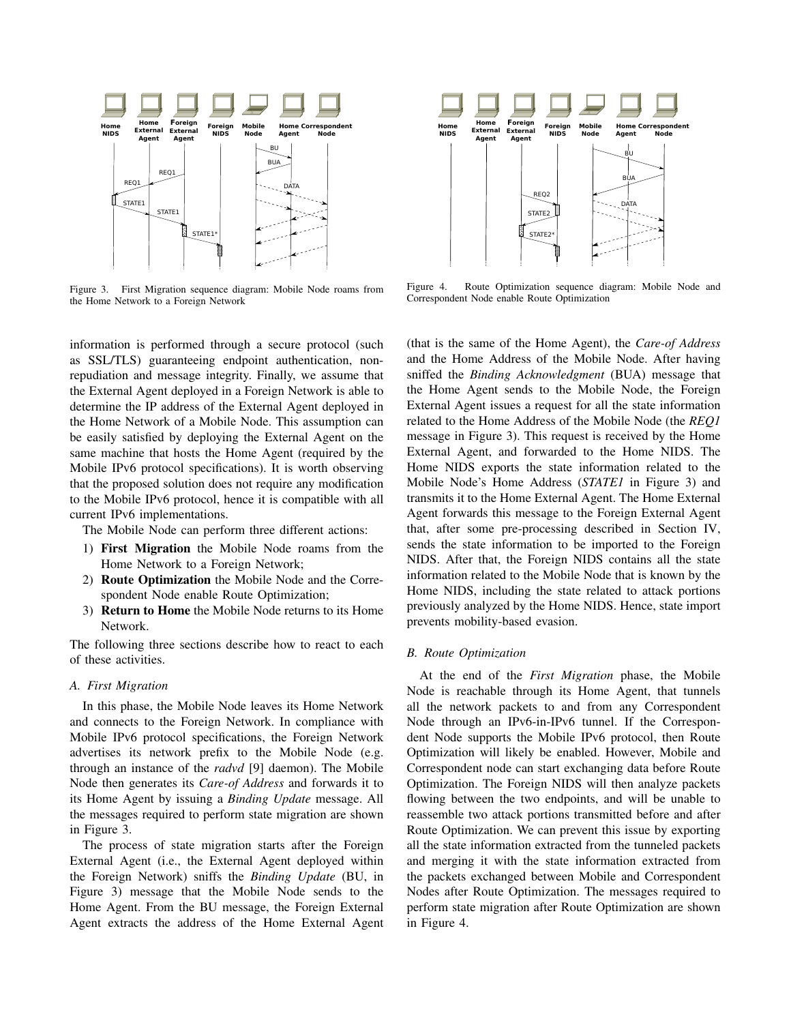

Figure 3. First Migration sequence diagram: Mobile Node roams from the Home Network to a Foreign Network

information is performed through a secure protocol (such as SSL/TLS) guaranteeing endpoint authentication, nonrepudiation and message integrity. Finally, we assume that the External Agent deployed in a Foreign Network is able to determine the IP address of the External Agent deployed in the Home Network of a Mobile Node. This assumption can be easily satisfied by deploying the External Agent on the same machine that hosts the Home Agent (required by the Mobile IPv6 protocol specifications). It is worth observing that the proposed solution does not require any modification to the Mobile IPv6 protocol, hence it is compatible with all current IPv6 implementations.

The Mobile Node can perform three different actions:

- 1) First Migration the Mobile Node roams from the Home Network to a Foreign Network;
- 2) Route Optimization the Mobile Node and the Correspondent Node enable Route Optimization;
- 3) Return to Home the Mobile Node returns to its Home Network.

The following three sections describe how to react to each of these activities.

#### *A. First Migration*

In this phase, the Mobile Node leaves its Home Network and connects to the Foreign Network. In compliance with Mobile IPv6 protocol specifications, the Foreign Network advertises its network prefix to the Mobile Node (e.g. through an instance of the *radvd* [9] daemon). The Mobile Node then generates its *Care-of Address* and forwards it to its Home Agent by issuing a *Binding Update* message. All the messages required to perform state migration are shown in Figure 3.

The process of state migration starts after the Foreign External Agent (i.e., the External Agent deployed within the Foreign Network) sniffs the *Binding Update* (BU, in Figure 3) message that the Mobile Node sends to the Home Agent. From the BU message, the Foreign External Agent extracts the address of the Home External Agent



Figure 4. Route Optimization sequence diagram: Mobile Node and Correspondent Node enable Route Optimization

(that is the same of the Home Agent), the *Care-of Address* and the Home Address of the Mobile Node. After having sniffed the *Binding Acknowledgment* (BUA) message that the Home Agent sends to the Mobile Node, the Foreign External Agent issues a request for all the state information related to the Home Address of the Mobile Node (the *REQ1* message in Figure 3). This request is received by the Home External Agent, and forwarded to the Home NIDS. The Home NIDS exports the state information related to the Mobile Node's Home Address (*STATE1* in Figure 3) and transmits it to the Home External Agent. The Home External Agent forwards this message to the Foreign External Agent that, after some pre-processing described in Section IV, sends the state information to be imported to the Foreign NIDS. After that, the Foreign NIDS contains all the state information related to the Mobile Node that is known by the Home NIDS, including the state related to attack portions previously analyzed by the Home NIDS. Hence, state import prevents mobility-based evasion.

#### *B. Route Optimization*

At the end of the *First Migration* phase, the Mobile Node is reachable through its Home Agent, that tunnels all the network packets to and from any Correspondent Node through an IPv6-in-IPv6 tunnel. If the Correspondent Node supports the Mobile IPv6 protocol, then Route Optimization will likely be enabled. However, Mobile and Correspondent node can start exchanging data before Route Optimization. The Foreign NIDS will then analyze packets flowing between the two endpoints, and will be unable to reassemble two attack portions transmitted before and after Route Optimization. We can prevent this issue by exporting all the state information extracted from the tunneled packets and merging it with the state information extracted from the packets exchanged between Mobile and Correspondent Nodes after Route Optimization. The messages required to perform state migration after Route Optimization are shown in Figure 4.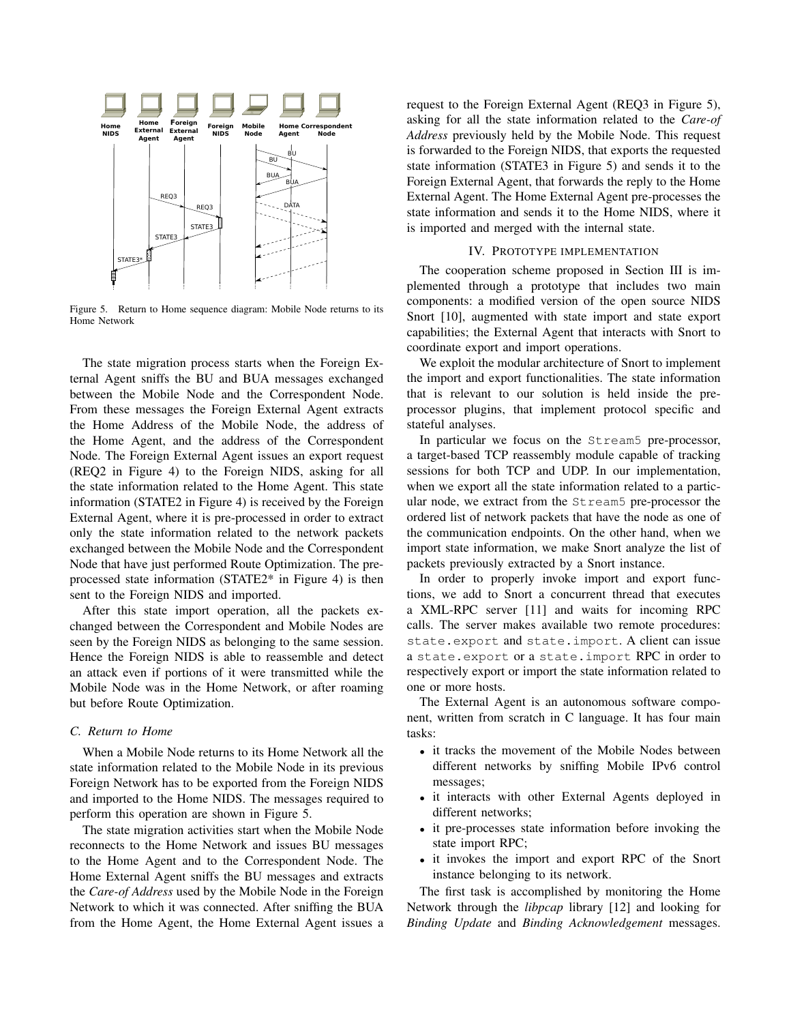

Figure 5. Return to Home sequence diagram: Mobile Node returns to its Home Network

The state migration process starts when the Foreign External Agent sniffs the BU and BUA messages exchanged between the Mobile Node and the Correspondent Node. From these messages the Foreign External Agent extracts the Home Address of the Mobile Node, the address of the Home Agent, and the address of the Correspondent Node. The Foreign External Agent issues an export request (REQ2 in Figure 4) to the Foreign NIDS, asking for all the state information related to the Home Agent. This state information (STATE2 in Figure 4) is received by the Foreign External Agent, where it is pre-processed in order to extract only the state information related to the network packets exchanged between the Mobile Node and the Correspondent Node that have just performed Route Optimization. The preprocessed state information (STATE2\* in Figure 4) is then sent to the Foreign NIDS and imported.

After this state import operation, all the packets exchanged between the Correspondent and Mobile Nodes are seen by the Foreign NIDS as belonging to the same session. Hence the Foreign NIDS is able to reassemble and detect an attack even if portions of it were transmitted while the Mobile Node was in the Home Network, or after roaming but before Route Optimization.

# *C. Return to Home*

When a Mobile Node returns to its Home Network all the state information related to the Mobile Node in its previous Foreign Network has to be exported from the Foreign NIDS and imported to the Home NIDS. The messages required to perform this operation are shown in Figure 5.

The state migration activities start when the Mobile Node reconnects to the Home Network and issues BU messages to the Home Agent and to the Correspondent Node. The Home External Agent sniffs the BU messages and extracts the *Care-of Address* used by the Mobile Node in the Foreign Network to which it was connected. After sniffing the BUA from the Home Agent, the Home External Agent issues a request to the Foreign External Agent (REQ3 in Figure 5), asking for all the state information related to the *Care-of Address* previously held by the Mobile Node. This request is forwarded to the Foreign NIDS, that exports the requested state information (STATE3 in Figure 5) and sends it to the Foreign External Agent, that forwards the reply to the Home External Agent. The Home External Agent pre-processes the state information and sends it to the Home NIDS, where it is imported and merged with the internal state.

#### IV. PROTOTYPE IMPLEMENTATION

The cooperation scheme proposed in Section III is implemented through a prototype that includes two main components: a modified version of the open source NIDS Snort [10], augmented with state import and state export capabilities; the External Agent that interacts with Snort to coordinate export and import operations.

We exploit the modular architecture of Snort to implement the import and export functionalities. The state information that is relevant to our solution is held inside the preprocessor plugins, that implement protocol specific and stateful analyses.

In particular we focus on the Stream5 pre-processor, a target-based TCP reassembly module capable of tracking sessions for both TCP and UDP. In our implementation, when we export all the state information related to a particular node, we extract from the Stream5 pre-processor the ordered list of network packets that have the node as one of the communication endpoints. On the other hand, when we import state information, we make Snort analyze the list of packets previously extracted by a Snort instance.

In order to properly invoke import and export functions, we add to Snort a concurrent thread that executes a XML-RPC server [11] and waits for incoming RPC calls. The server makes available two remote procedures: state.export and state.import. A client can issue a state.export or a state.import RPC in order to respectively export or import the state information related to one or more hosts.

The External Agent is an autonomous software component, written from scratch in C language. It has four main tasks:

- it tracks the movement of the Mobile Nodes between different networks by sniffing Mobile IPv6 control messages;
- it interacts with other External Agents deployed in different networks;
- it pre-processes state information before invoking the state import RPC;
- it invokes the import and export RPC of the Snort instance belonging to its network.

The first task is accomplished by monitoring the Home Network through the *libpcap* library [12] and looking for *Binding Update* and *Binding Acknowledgement* messages.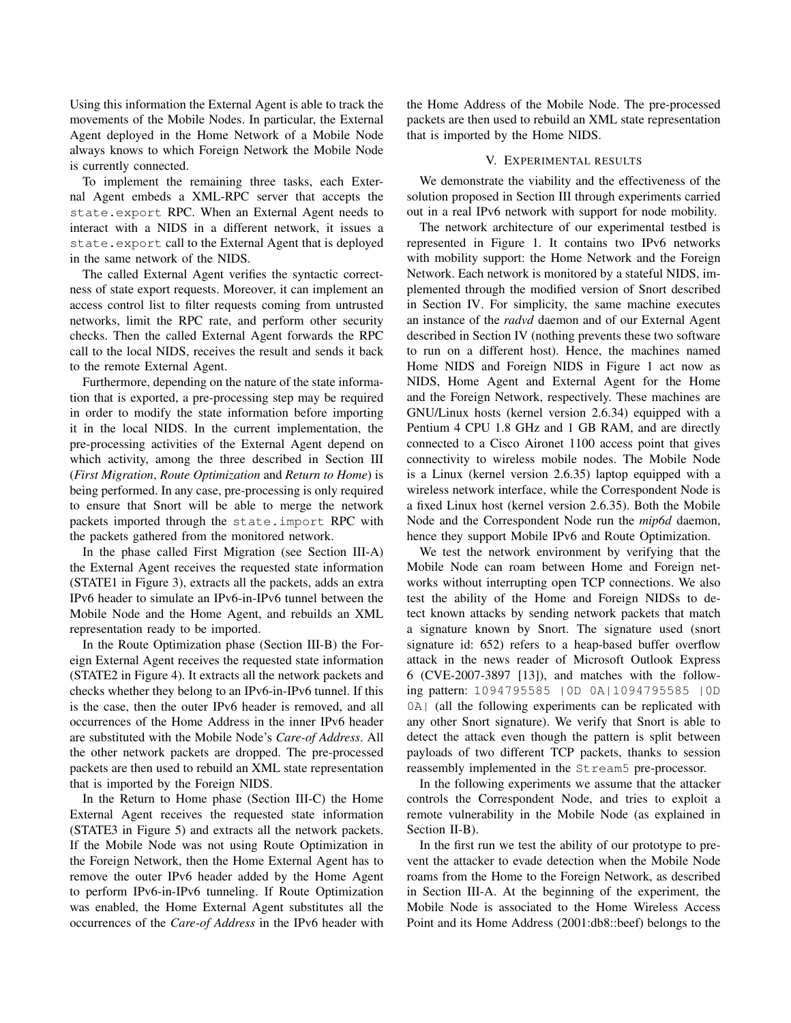Using this information the External Agent is able to track the movements of the Mobile Nodes. In particular, the External Agent deployed in the Home Network of a Mobile Node always knows to which Foreign Network the Mobile Node is currently connected.

To implement the remaining three tasks, each External Agent embeds a XML-RPC server that accepts the state.export RPC. When an External Agent needs to interact with a NIDS in a different network, it issues a state.export call to the External Agent that is deployed in the same network of the NIDS.

The called External Agent verifies the syntactic correctness of state export requests. Moreover, it can implement an access control list to filter requests coming from untrusted networks, limit the RPC rate, and perform other security checks. Then the called External Agent forwards the RPC call to the local NIDS, receives the result and sends it back to the remote External Agent.

Furthermore, depending on the nature of the state information that is exported, a pre-processing step may be required in order to modify the state information before importing it in the local NIDS. In the current implementation, the pre-processing activities of the External Agent depend on which activity, among the three described in Section III (*First Migration*, *Route Optimization* and *Return to Home*) is being performed. In any case, pre-processing is only required to ensure that Snort will be able to merge the network packets imported through the state.import RPC with the packets gathered from the monitored network.

In the phase called First Migration (see Section III-A) the External Agent receives the requested state information (STATE1 in Figure 3), extracts all the packets, adds an extra IPv6 header to simulate an IPv6-in-IPv6 tunnel between the Mobile Node and the Home Agent, and rebuilds an XML representation ready to be imported.

In the Route Optimization phase (Section III-B) the Foreign External Agent receives the requested state information (STATE2 in Figure 4). It extracts all the network packets and checks whether they belong to an IPv6-in-IPv6 tunnel. If this is the case, then the outer IPv6 header is removed, and all occurrences of the Home Address in the inner IPv6 header are substituted with the Mobile Node's *Care-of Address*. All the other network packets are dropped. The pre-processed packets are then used to rebuild an XML state representation that is imported by the Foreign NIDS.

In the Return to Home phase (Section III-C) the Home External Agent receives the requested state information (STATE3 in Figure 5) and extracts all the network packets. If the Mobile Node was not using Route Optimization in the Foreign Network, then the Home External Agent has to remove the outer IPv6 header added by the Home Agent to perform IPv6-in-IPv6 tunneling. If Route Optimization was enabled, the Home External Agent substitutes all the occurrences of the *Care-of Address* in the IPv6 header with the Home Address of the Mobile Node. The pre-processed packets are then used to rebuild an XML state representation that is imported by the Home NIDS.

### V. EXPERIMENTAL RESULTS

We demonstrate the viability and the effectiveness of the solution proposed in Section III through experiments carried out in a real IPv6 network with support for node mobility.

The network architecture of our experimental testbed is represented in Figure 1. It contains two IPv6 networks with mobility support: the Home Network and the Foreign Network. Each network is monitored by a stateful NIDS, implemented through the modified version of Snort described in Section IV. For simplicity, the same machine executes an instance of the *radvd* daemon and of our External Agent described in Section IV (nothing prevents these two software to run on a different host). Hence, the machines named Home NIDS and Foreign NIDS in Figure 1 act now as NIDS, Home Agent and External Agent for the Home and the Foreign Network, respectively. These machines are GNU/Linux hosts (kernel version 2.6.34) equipped with a Pentium 4 CPU 1.8 GHz and 1 GB RAM, and are directly connected to a Cisco Aironet 1100 access point that gives connectivity to wireless mobile nodes. The Mobile Node is a Linux (kernel version 2.6.35) laptop equipped with a wireless network interface, while the Correspondent Node is a fixed Linux host (kernel version 2.6.35). Both the Mobile Node and the Correspondent Node run the *mip6d* daemon, hence they support Mobile IPv6 and Route Optimization.

We test the network environment by verifying that the Mobile Node can roam between Home and Foreign networks without interrupting open TCP connections. We also test the ability of the Home and Foreign NIDSs to detect known attacks by sending network packets that match a signature known by Snort. The signature used (snort signature id: 652) refers to a heap-based buffer overflow attack in the news reader of Microsoft Outlook Express 6 (CVE-2007-3897 [13]), and matches with the following pattern: 1094795585 |0D 0A|1094795585 |0D 0A| (all the following experiments can be replicated with any other Snort signature). We verify that Snort is able to detect the attack even though the pattern is split between payloads of two different TCP packets, thanks to session reassembly implemented in the Stream5 pre-processor.

In the following experiments we assume that the attacker controls the Correspondent Node, and tries to exploit a remote vulnerability in the Mobile Node (as explained in Section II-B).

In the first run we test the ability of our prototype to prevent the attacker to evade detection when the Mobile Node roams from the Home to the Foreign Network, as described in Section III-A. At the beginning of the experiment, the Mobile Node is associated to the Home Wireless Access Point and its Home Address (2001:db8::beef) belongs to the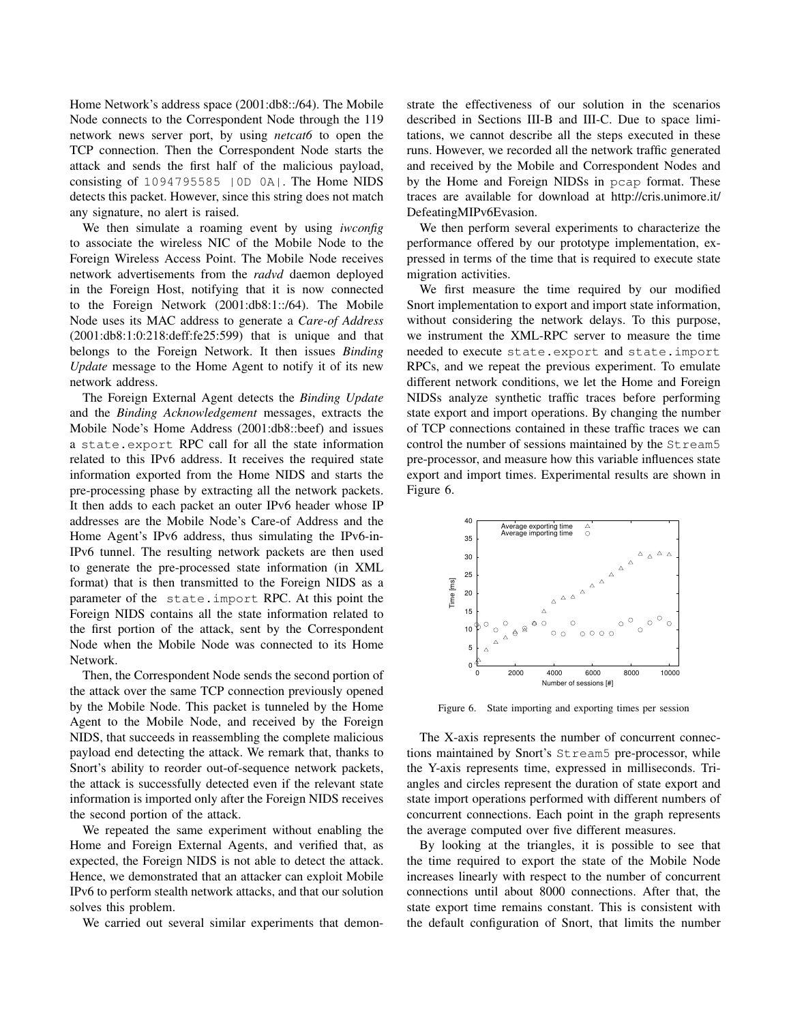Home Network's address space (2001:db8::/64). The Mobile Node connects to the Correspondent Node through the 119 network news server port, by using *netcat6* to open the TCP connection. Then the Correspondent Node starts the attack and sends the first half of the malicious payload, consisting of 1094795585 |0D 0A|. The Home NIDS detects this packet. However, since this string does not match any signature, no alert is raised.

We then simulate a roaming event by using *iwconfig* to associate the wireless NIC of the Mobile Node to the Foreign Wireless Access Point. The Mobile Node receives network advertisements from the *radvd* daemon deployed in the Foreign Host, notifying that it is now connected to the Foreign Network (2001:db8:1::/64). The Mobile Node uses its MAC address to generate a *Care-of Address* (2001:db8:1:0:218:deff:fe25:599) that is unique and that belongs to the Foreign Network. It then issues *Binding Update* message to the Home Agent to notify it of its new network address.

The Foreign External Agent detects the *Binding Update* and the *Binding Acknowledgement* messages, extracts the Mobile Node's Home Address (2001:db8::beef) and issues a state.export RPC call for all the state information related to this IPv6 address. It receives the required state information exported from the Home NIDS and starts the pre-processing phase by extracting all the network packets. It then adds to each packet an outer IPv6 header whose IP addresses are the Mobile Node's Care-of Address and the Home Agent's IPv6 address, thus simulating the IPv6-in-IPv6 tunnel. The resulting network packets are then used to generate the pre-processed state information (in XML format) that is then transmitted to the Foreign NIDS as a parameter of the state.import RPC. At this point the Foreign NIDS contains all the state information related to the first portion of the attack, sent by the Correspondent Node when the Mobile Node was connected to its Home Network.

Then, the Correspondent Node sends the second portion of the attack over the same TCP connection previously opened by the Mobile Node. This packet is tunneled by the Home Agent to the Mobile Node, and received by the Foreign NIDS, that succeeds in reassembling the complete malicious payload end detecting the attack. We remark that, thanks to Snort's ability to reorder out-of-sequence network packets, the attack is successfully detected even if the relevant state information is imported only after the Foreign NIDS receives the second portion of the attack.

We repeated the same experiment without enabling the Home and Foreign External Agents, and verified that, as expected, the Foreign NIDS is not able to detect the attack. Hence, we demonstrated that an attacker can exploit Mobile IPv6 to perform stealth network attacks, and that our solution solves this problem.

We carried out several similar experiments that demon-

strate the effectiveness of our solution in the scenarios described in Sections III-B and III-C. Due to space limitations, we cannot describe all the steps executed in these runs. However, we recorded all the network traffic generated and received by the Mobile and Correspondent Nodes and by the Home and Foreign NIDSs in pcap format. These traces are available for download at http://cris.unimore.it/ DefeatingMIPv6Evasion.

We then perform several experiments to characterize the performance offered by our prototype implementation, expressed in terms of the time that is required to execute state migration activities.

We first measure the time required by our modified Snort implementation to export and import state information, without considering the network delays. To this purpose, we instrument the XML-RPC server to measure the time needed to execute state.export and state.import RPCs, and we repeat the previous experiment. To emulate different network conditions, we let the Home and Foreign NIDSs analyze synthetic traffic traces before performing state export and import operations. By changing the number of TCP connections contained in these traffic traces we can control the number of sessions maintained by the Stream5 pre-processor, and measure how this variable influences state export and import times. Experimental results are shown in Figure 6.



Figure 6. State importing and exporting times per session

The X-axis represents the number of concurrent connections maintained by Snort's Stream5 pre-processor, while the Y-axis represents time, expressed in milliseconds. Triangles and circles represent the duration of state export and state import operations performed with different numbers of concurrent connections. Each point in the graph represents the average computed over five different measures.

By looking at the triangles, it is possible to see that the time required to export the state of the Mobile Node increases linearly with respect to the number of concurrent connections until about 8000 connections. After that, the state export time remains constant. This is consistent with the default configuration of Snort, that limits the number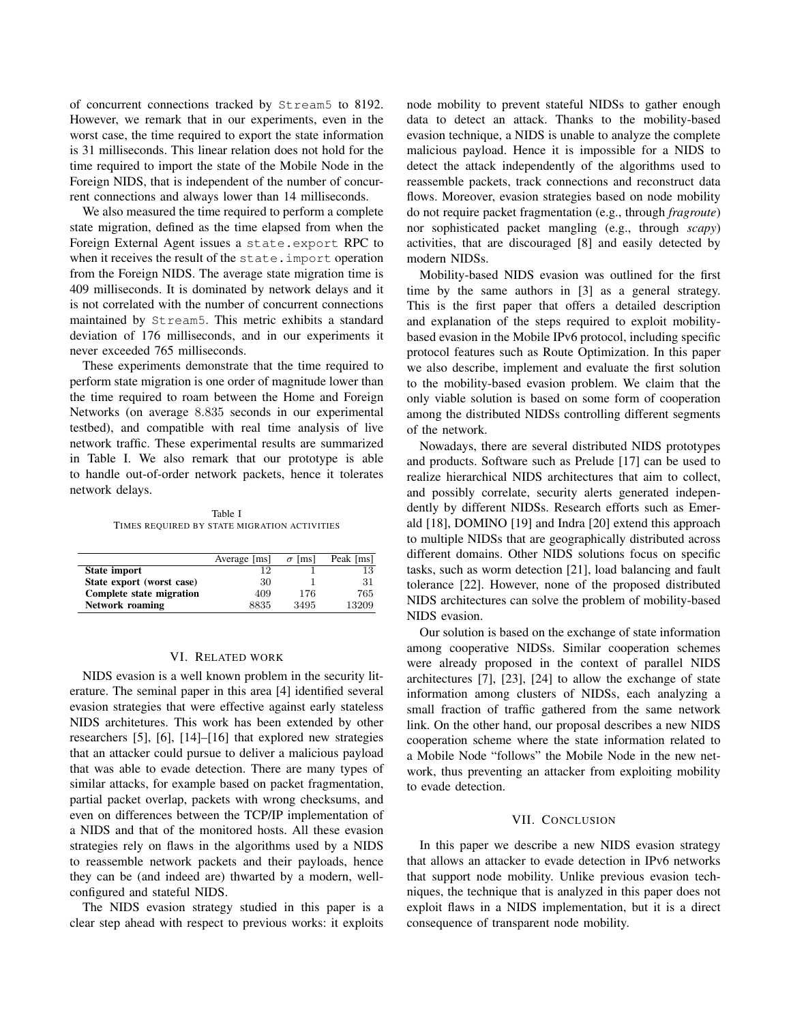of concurrent connections tracked by Stream5 to 8192. However, we remark that in our experiments, even in the worst case, the time required to export the state information is 31 milliseconds. This linear relation does not hold for the time required to import the state of the Mobile Node in the Foreign NIDS, that is independent of the number of concurrent connections and always lower than 14 milliseconds.

We also measured the time required to perform a complete state migration, defined as the time elapsed from when the Foreign External Agent issues a state.export RPC to when it receives the result of the state. import operation from the Foreign NIDS. The average state migration time is 409 milliseconds. It is dominated by network delays and it is not correlated with the number of concurrent connections maintained by Stream5. This metric exhibits a standard deviation of 176 milliseconds, and in our experiments it never exceeded 765 milliseconds.

These experiments demonstrate that the time required to perform state migration is one order of magnitude lower than the time required to roam between the Home and Foreign Networks (on average 8.835 seconds in our experimental testbed), and compatible with real time analysis of live network traffic. These experimental results are summarized in Table I. We also remark that our prototype is able to handle out-of-order network packets, hence it tolerates network delays.

Table I TIMES REQUIRED BY STATE MIGRATION ACTIVITIES

|                           | Average [ms] | $\sigma$ [ms] | Peak [ms] |
|---------------------------|--------------|---------------|-----------|
| State import              |              |               | 13        |
| State export (worst case) | 30           |               | 31        |
| Complete state migration  | 409          | 176           | 765       |
| <b>Network roaming</b>    | 8835         | 3495          | 13209     |

#### VI. RELATED WORK

NIDS evasion is a well known problem in the security literature. The seminal paper in this area [4] identified several evasion strategies that were effective against early stateless NIDS architetures. This work has been extended by other researchers [5], [6], [14]–[16] that explored new strategies that an attacker could pursue to deliver a malicious payload that was able to evade detection. There are many types of similar attacks, for example based on packet fragmentation, partial packet overlap, packets with wrong checksums, and even on differences between the TCP/IP implementation of a NIDS and that of the monitored hosts. All these evasion strategies rely on flaws in the algorithms used by a NIDS to reassemble network packets and their payloads, hence they can be (and indeed are) thwarted by a modern, wellconfigured and stateful NIDS.

The NIDS evasion strategy studied in this paper is a clear step ahead with respect to previous works: it exploits node mobility to prevent stateful NIDSs to gather enough data to detect an attack. Thanks to the mobility-based evasion technique, a NIDS is unable to analyze the complete malicious payload. Hence it is impossible for a NIDS to detect the attack independently of the algorithms used to reassemble packets, track connections and reconstruct data flows. Moreover, evasion strategies based on node mobility do not require packet fragmentation (e.g., through *fragroute*) nor sophisticated packet mangling (e.g., through *scapy*) activities, that are discouraged [8] and easily detected by modern NIDSs.

Mobility-based NIDS evasion was outlined for the first time by the same authors in [3] as a general strategy. This is the first paper that offers a detailed description and explanation of the steps required to exploit mobilitybased evasion in the Mobile IPv6 protocol, including specific protocol features such as Route Optimization. In this paper we also describe, implement and evaluate the first solution to the mobility-based evasion problem. We claim that the only viable solution is based on some form of cooperation among the distributed NIDSs controlling different segments of the network.

Nowadays, there are several distributed NIDS prototypes and products. Software such as Prelude [17] can be used to realize hierarchical NIDS architectures that aim to collect, and possibly correlate, security alerts generated independently by different NIDSs. Research efforts such as Emerald [18], DOMINO [19] and Indra [20] extend this approach to multiple NIDSs that are geographically distributed across different domains. Other NIDS solutions focus on specific tasks, such as worm detection [21], load balancing and fault tolerance [22]. However, none of the proposed distributed NIDS architectures can solve the problem of mobility-based NIDS evasion.

Our solution is based on the exchange of state information among cooperative NIDSs. Similar cooperation schemes were already proposed in the context of parallel NIDS architectures [7], [23], [24] to allow the exchange of state information among clusters of NIDSs, each analyzing a small fraction of traffic gathered from the same network link. On the other hand, our proposal describes a new NIDS cooperation scheme where the state information related to a Mobile Node "follows" the Mobile Node in the new network, thus preventing an attacker from exploiting mobility to evade detection.

# VII. CONCLUSION

In this paper we describe a new NIDS evasion strategy that allows an attacker to evade detection in IPv6 networks that support node mobility. Unlike previous evasion techniques, the technique that is analyzed in this paper does not exploit flaws in a NIDS implementation, but it is a direct consequence of transparent node mobility.